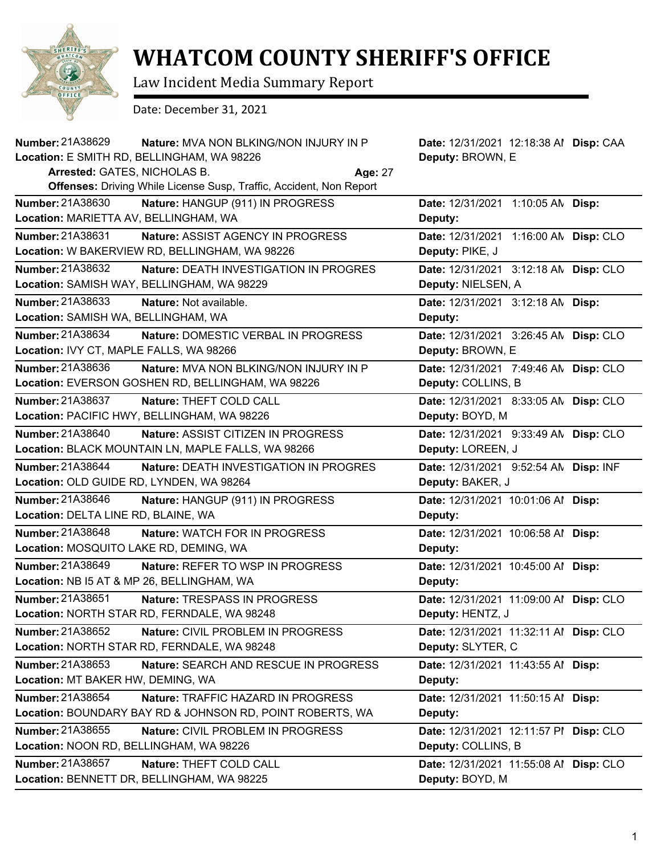

## **WHATCOM COUNTY SHERIFF'S OFFICE**

Law Incident Media Summary Report

Date: December 31, 2021

| <b>Number: 21A38629</b>                                        | Nature: MVA NON BLKING/NON INJURY IN P<br>Location: E SMITH RD, BELLINGHAM, WA 98226               | Date: 12/31/2021 12:18:38 Al Disp: CAA<br>Deputy: BROWN, E   |  |
|----------------------------------------------------------------|----------------------------------------------------------------------------------------------------|--------------------------------------------------------------|--|
| Arrested: GATES, NICHOLAS B.                                   | Offenses: Driving While License Susp, Traffic, Accident, Non Report                                | <b>Age: 27</b>                                               |  |
| Number: 21A38630<br>Location: MARIETTA AV, BELLINGHAM, WA      | Nature: HANGUP (911) IN PROGRESS                                                                   | Date: 12/31/2021 1:10:05 AN Disp:<br>Deputy:                 |  |
| Number: 21A38631                                               | <b>Nature: ASSIST AGENCY IN PROGRESS</b><br>Location: W BAKERVIEW RD, BELLINGHAM, WA 98226         | Date: 12/31/2021 1:16:00 AN Disp: CLO<br>Deputy: PIKE, J     |  |
| Number: 21A38632                                               | Nature: DEATH INVESTIGATION IN PROGRES<br>Location: SAMISH WAY, BELLINGHAM, WA 98229               | Date: 12/31/2021 3:12:18 AN Disp: CLO<br>Deputy: NIELSEN, A  |  |
| Number: 21A38633<br>Location: SAMISH WA, BELLINGHAM, WA        | Nature: Not available.                                                                             | Date: 12/31/2021 3:12:18 AN Disp:<br>Deputy:                 |  |
| Number: 21A38634<br>Location: IVY CT, MAPLE FALLS, WA 98266    | Nature: DOMESTIC VERBAL IN PROGRESS                                                                | Date: 12/31/2021 3:26:45 AN Disp: CLO<br>Deputy: BROWN, E    |  |
| Number: 21A38636                                               | <b>Nature: MVA NON BLKING/NON INJURY IN P</b><br>Location: EVERSON GOSHEN RD, BELLINGHAM, WA 98226 | Date: 12/31/2021 7:49:46 AN Disp: CLO<br>Deputy: COLLINS, B  |  |
| Number: 21A38637                                               | Nature: THEFT COLD CALL<br>Location: PACIFIC HWY, BELLINGHAM, WA 98226                             | Date: 12/31/2021 8:33:05 AN Disp: CLO<br>Deputy: BOYD, M     |  |
| <b>Number: 21A38640</b>                                        | Nature: ASSIST CITIZEN IN PROGRESS<br>Location: BLACK MOUNTAIN LN, MAPLE FALLS, WA 98266           | Date: 12/31/2021 9:33:49 AN Disp: CLO<br>Deputy: LOREEN, J   |  |
| Number: 21A38644<br>Location: OLD GUIDE RD, LYNDEN, WA 98264   | Nature: DEATH INVESTIGATION IN PROGRES                                                             | Date: 12/31/2021 9:52:54 AN Disp: INF<br>Deputy: BAKER, J    |  |
| Number: 21A38646<br>Location: DELTA LINE RD, BLAINE, WA        | Nature: HANGUP (911) IN PROGRESS                                                                   | Date: 12/31/2021 10:01:06 Al Disp:<br>Deputy:                |  |
| Number: 21A38648<br>Location: MOSQUITO LAKE RD, DEMING, WA     | Nature: WATCH FOR IN PROGRESS                                                                      | Date: 12/31/2021 10:06:58 Al Disp:<br>Deputy:                |  |
| Number: 21A38649<br>Location: NB I5 AT & MP 26, BELLINGHAM, WA | Nature: REFER TO WSP IN PROGRESS                                                                   | Date: 12/31/2021 10:45:00 Al Disp:<br>Deputy:                |  |
| Number: 21A38651                                               | Nature: TRESPASS IN PROGRESS<br>Location: NORTH STAR RD, FERNDALE, WA 98248                        | Date: 12/31/2021 11:09:00 Al Disp: CLO<br>Deputy: HENTZ, J   |  |
| Number: 21A38652                                               | Nature: CIVIL PROBLEM IN PROGRESS<br>Location: NORTH STAR RD, FERNDALE, WA 98248                   | Date: 12/31/2021 11:32:11 Al Disp: CLO<br>Deputy: SLYTER, C  |  |
| Number: 21A38653<br>Location: MT BAKER HW, DEMING, WA          | Nature: SEARCH AND RESCUE IN PROGRESS                                                              | Date: 12/31/2021 11:43:55 Al Disp:<br>Deputy:                |  |
| Number: 21A38654                                               | Nature: TRAFFIC HAZARD IN PROGRESS<br>Location: BOUNDARY BAY RD & JOHNSON RD, POINT ROBERTS, WA    | Date: 12/31/2021 11:50:15 Al Disp:<br>Deputy:                |  |
| Number: 21A38655<br>Location: NOON RD, BELLINGHAM, WA 98226    | Nature: CIVIL PROBLEM IN PROGRESS                                                                  | Date: 12/31/2021 12:11:57 PI Disp: CLO<br>Deputy: COLLINS, B |  |
| Number: 21A38657                                               | Nature: THEFT COLD CALL<br>Location: BENNETT DR, BELLINGHAM, WA 98225                              | Date: 12/31/2021 11:55:08 Al Disp: CLO<br>Deputy: BOYD, M    |  |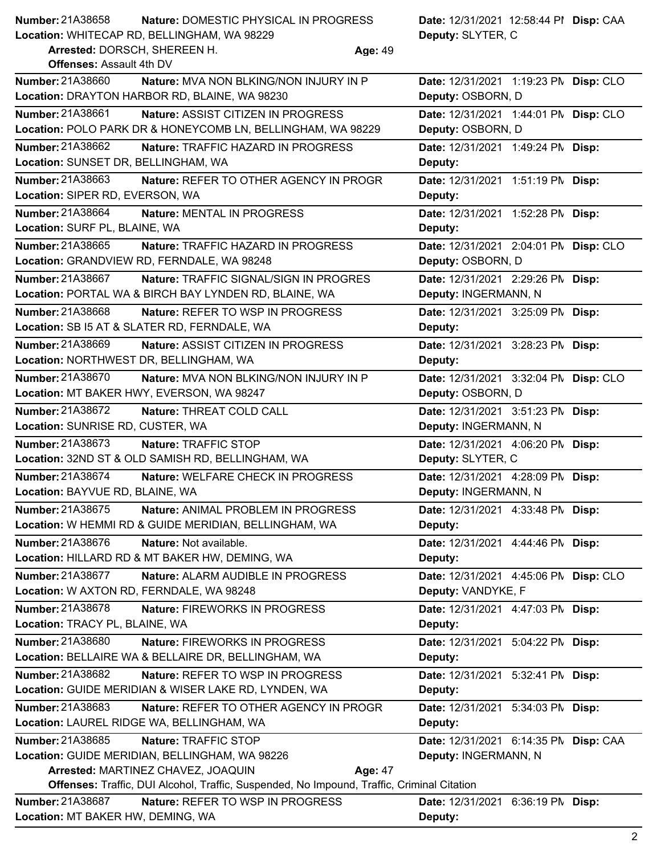| <b>Number: 21A38658</b>                                                                           | Nature: DOMESTIC PHYSICAL IN PROGRESS                                                   |                   | Date: 12/31/2021 12:58:44 PI Disp: CAA                     |  |
|---------------------------------------------------------------------------------------------------|-----------------------------------------------------------------------------------------|-------------------|------------------------------------------------------------|--|
| Location: WHITECAP RD, BELLINGHAM, WA 98229                                                       |                                                                                         | Deputy: SLYTER, C |                                                            |  |
| Arrested: DORSCH, SHEREEN H.                                                                      |                                                                                         | Age: 49           |                                                            |  |
| <b>Offenses: Assault 4th DV</b><br>Number: 21A38660                                               |                                                                                         |                   |                                                            |  |
|                                                                                                   | Nature: MVA NON BLKING/NON INJURY IN P<br>Location: DRAYTON HARBOR RD, BLAINE, WA 98230 |                   | Date: 12/31/2021 1:19:23 PM Disp: CLO<br>Deputy: OSBORN, D |  |
|                                                                                                   |                                                                                         |                   |                                                            |  |
| Number: 21A38661                                                                                  | Nature: ASSIST CITIZEN IN PROGRESS                                                      |                   | Date: 12/31/2021 1:44:01 PM Disp: CLO                      |  |
|                                                                                                   | Location: POLO PARK DR & HONEYCOMB LN, BELLINGHAM, WA 98229                             |                   | Deputy: OSBORN, D                                          |  |
| Number: 21A38662<br>Location: SUNSET DR, BELLINGHAM, WA                                           | Nature: TRAFFIC HAZARD IN PROGRESS                                                      |                   | Date: 12/31/2021 1:49:24 PM Disp:<br>Deputy:               |  |
| Number: 21A38663                                                                                  | Nature: REFER TO OTHER AGENCY IN PROGR                                                  |                   | Date: 12/31/2021 1:51:19 PM Disp:                          |  |
| Location: SIPER RD, EVERSON, WA                                                                   |                                                                                         |                   | Deputy:                                                    |  |
| Number: 21A38664                                                                                  | Nature: MENTAL IN PROGRESS                                                              |                   | Date: 12/31/2021 1:52:28 PM Disp:                          |  |
| Location: SURF PL, BLAINE, WA                                                                     |                                                                                         |                   | Deputy:                                                    |  |
| Number: 21A38665                                                                                  | <b>Nature: TRAFFIC HAZARD IN PROGRESS</b>                                               |                   | Date: 12/31/2021 2:04:01 PN Disp: CLO                      |  |
|                                                                                                   | Location: GRANDVIEW RD, FERNDALE, WA 98248                                              |                   | Deputy: OSBORN, D                                          |  |
| Number: 21A38667                                                                                  | Nature: TRAFFIC SIGNAL/SIGN IN PROGRES                                                  |                   | Date: 12/31/2021 2:29:26 PM Disp:                          |  |
|                                                                                                   | Location: PORTAL WA & BIRCH BAY LYNDEN RD, BLAINE, WA                                   |                   | Deputy: INGERMANN, N                                       |  |
| Number: 21A38668                                                                                  | <b>Nature: REFER TO WSP IN PROGRESS</b>                                                 |                   | Date: 12/31/2021 3:25:09 PM Disp:                          |  |
|                                                                                                   | Location: SB I5 AT & SLATER RD, FERNDALE, WA                                            |                   | Deputy:                                                    |  |
| Number: 21A38669                                                                                  | Nature: ASSIST CITIZEN IN PROGRESS                                                      |                   | Date: 12/31/2021 3:28:23 PM Disp:                          |  |
| Location: NORTHWEST DR, BELLINGHAM, WA                                                            |                                                                                         |                   | Deputy:                                                    |  |
| Number: 21A38670                                                                                  | Nature: MVA NON BLKING/NON INJURY IN P                                                  |                   | Date: 12/31/2021 3:32:04 PM Disp: CLO                      |  |
|                                                                                                   | Location: MT BAKER HWY, EVERSON, WA 98247                                               |                   | Deputy: OSBORN, D                                          |  |
| Number: 21A38672                                                                                  | Nature: THREAT COLD CALL                                                                |                   | Date: 12/31/2021 3:51:23 PM Disp:                          |  |
| Location: SUNRISE RD, CUSTER, WA                                                                  |                                                                                         |                   | Deputy: INGERMANN, N                                       |  |
| Number: 21A38673                                                                                  | Nature: TRAFFIC STOP                                                                    |                   | Date: 12/31/2021 4:06:20 PM Disp:                          |  |
|                                                                                                   | Location: 32ND ST & OLD SAMISH RD, BELLINGHAM, WA                                       |                   | Deputy: SLYTER, C                                          |  |
| Number: 21A38674                                                                                  | Nature: WELFARE CHECK IN PROGRESS                                                       |                   | Date: 12/31/2021 4:28:09 PM Disp:                          |  |
| Location: BAYVUE RD, BLAINE, WA                                                                   |                                                                                         |                   | Deputy: INGERMANN, N                                       |  |
| Number: 21A38675                                                                                  | Nature: ANIMAL PROBLEM IN PROGRESS                                                      |                   | Date: 12/31/2021 4:33:48 PM Disp:                          |  |
|                                                                                                   | Location: W HEMMI RD & GUIDE MERIDIAN, BELLINGHAM, WA                                   |                   | Deputy:                                                    |  |
| Number: 21A38676                                                                                  | Nature: Not available.                                                                  |                   | Date: 12/31/2021 4:44:46 PM Disp:                          |  |
|                                                                                                   | Location: HILLARD RD & MT BAKER HW, DEMING, WA                                          |                   | Deputy:                                                    |  |
| <b>Number: 21A38677</b>                                                                           | Nature: ALARM AUDIBLE IN PROGRESS                                                       |                   | Date: 12/31/2021 4:45:06 PM Disp: CLO                      |  |
| Location: W AXTON RD, FERNDALE, WA 98248                                                          |                                                                                         |                   | Deputy: VANDYKE, F                                         |  |
| Number: 21A38678                                                                                  | Nature: FIREWORKS IN PROGRESS                                                           |                   | Date: 12/31/2021 4:47:03 PM Disp:                          |  |
| Location: TRACY PL, BLAINE, WA                                                                    |                                                                                         |                   | Deputy:                                                    |  |
| Number: 21A38680                                                                                  | Nature: FIREWORKS IN PROGRESS                                                           |                   | Date: 12/31/2021 5:04:22 PM Disp:                          |  |
|                                                                                                   | Location: BELLAIRE WA & BELLAIRE DR, BELLINGHAM, WA                                     |                   | Deputy:                                                    |  |
| Number: 21A38682                                                                                  | Nature: REFER TO WSP IN PROGRESS                                                        |                   | Date: 12/31/2021 5:32:41 PM Disp:                          |  |
|                                                                                                   | Location: GUIDE MERIDIAN & WISER LAKE RD, LYNDEN, WA                                    |                   | Deputy:                                                    |  |
| Number: 21A38683                                                                                  | Nature: REFER TO OTHER AGENCY IN PROGR                                                  |                   | Date: 12/31/2021 5:34:03 PM Disp:                          |  |
|                                                                                                   | Location: LAUREL RIDGE WA, BELLINGHAM, WA                                               |                   | Deputy:                                                    |  |
| Number: 21A38685                                                                                  | Nature: TRAFFIC STOP                                                                    |                   | Date: 12/31/2021 6:14:35 PN Disp: CAA                      |  |
|                                                                                                   | Location: GUIDE MERIDIAN, BELLINGHAM, WA 98226                                          |                   | Deputy: INGERMANN, N                                       |  |
| Arrested: MARTINEZ CHAVEZ, JOAQUIN<br>Age: 47                                                     |                                                                                         |                   |                                                            |  |
| <b>Offenses:</b> Traffic, DUI Alcohol, Traffic, Suspended, No Impound, Traffic, Criminal Citation |                                                                                         |                   |                                                            |  |

**Nature:** REFER TO WSP IN PROGRESS **Deputy:** Date: 12/31/2021 6:36:19 PM Disp: **Location:** MT BAKER HW, DEMING, WA Number: 21A38687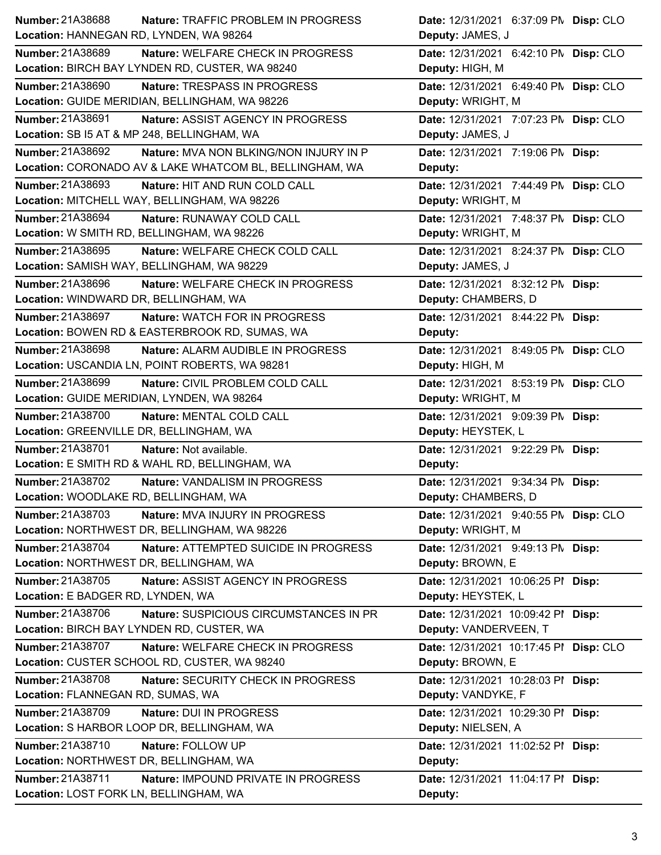| Number: 21A38688<br><b>Nature: TRAFFIC PROBLEM IN PROGRESS</b> | Date: 12/31/2021 6:37:09 PM Disp: CLO  |
|----------------------------------------------------------------|----------------------------------------|
| Location: HANNEGAN RD, LYNDEN, WA 98264                        | Deputy: JAMES, J                       |
| Number: 21A38689<br>Nature: WELFARE CHECK IN PROGRESS          | Date: 12/31/2021 6:42:10 PN Disp: CLO  |
| Location: BIRCH BAY LYNDEN RD, CUSTER, WA 98240                | Deputy: HIGH, M                        |
| Number: 21A38690<br>Nature: TRESPASS IN PROGRESS               | Date: 12/31/2021 6:49:40 PM Disp: CLO  |
| Location: GUIDE MERIDIAN, BELLINGHAM, WA 98226                 | Deputy: WRIGHT, M                      |
| <b>Number: 21A38691</b><br>Nature: ASSIST AGENCY IN PROGRESS   | Date: 12/31/2021 7:07:23 PN Disp: CLO  |
| Location: SB I5 AT & MP 248, BELLINGHAM, WA                    | Deputy: JAMES, J                       |
| Number: 21A38692<br>Nature: MVA NON BLKING/NON INJURY IN P     | Date: 12/31/2021 7:19:06 PM Disp:      |
| Location: CORONADO AV & LAKE WHATCOM BL, BELLINGHAM, WA        | Deputy:                                |
| <b>Number: 21A38693</b><br>Nature: HIT AND RUN COLD CALL       | Date: 12/31/2021 7:44:49 PN Disp: CLO  |
| Location: MITCHELL WAY, BELLINGHAM, WA 98226                   | Deputy: WRIGHT, M                      |
| Number: 21A38694<br>Nature: RUNAWAY COLD CALL                  | Date: 12/31/2021 7:48:37 PM Disp: CLO  |
| Location: W SMITH RD, BELLINGHAM, WA 98226                     | Deputy: WRIGHT, M                      |
| Number: 21A38695<br>Nature: WELFARE CHECK COLD CALL            | Date: 12/31/2021 8:24:37 PM Disp: CLO  |
| Location: SAMISH WAY, BELLINGHAM, WA 98229                     | Deputy: JAMES, J                       |
| Number: 21A38696<br>Nature: WELFARE CHECK IN PROGRESS          | Date: 12/31/2021 8:32:12 PM Disp:      |
| Location: WINDWARD DR, BELLINGHAM, WA                          | Deputy: CHAMBERS, D                    |
| Number: 21A38697<br>Nature: WATCH FOR IN PROGRESS              | Date: 12/31/2021 8:44:22 PM Disp:      |
| Location: BOWEN RD & EASTERBROOK RD, SUMAS, WA                 | Deputy:                                |
| Number: 21A38698<br>Nature: ALARM AUDIBLE IN PROGRESS          | Date: 12/31/2021 8:49:05 PM Disp: CLO  |
| Location: USCANDIA LN, POINT ROBERTS, WA 98281                 | Deputy: HIGH, M                        |
| Number: 21A38699<br>Nature: CIVIL PROBLEM COLD CALL            | Date: 12/31/2021 8:53:19 PN Disp: CLO  |
| Location: GUIDE MERIDIAN, LYNDEN, WA 98264                     | Deputy: WRIGHT, M                      |
| <b>Number: 21A38700</b><br>Nature: MENTAL COLD CALL            | Date: 12/31/2021 9:09:39 PM Disp:      |
| Location: GREENVILLE DR, BELLINGHAM, WA                        | Deputy: HEYSTEK, L                     |
| Number: 21A38701<br>Nature: Not available.                     | Date: 12/31/2021 9:22:29 PM Disp:      |
| Location: E SMITH RD & WAHL RD, BELLINGHAM, WA                 | Deputy:                                |
| Number: 21A38702<br><b>Nature: VANDALISM IN PROGRESS</b>       | Date: 12/31/2021 9:34:34 PM Disp:      |
| Location: WOODLAKE RD, BELLINGHAM, WA                          | Deputy: CHAMBERS, D                    |
| Number: 21A38703<br><b>Nature: MVA INJURY IN PROGRESS</b>      | Date: 12/31/2021 9:40:55 PM Disp: CLO  |
| Location: NORTHWEST DR, BELLINGHAM, WA 98226                   | Deputy: WRIGHT, M                      |
| Number: 21A38704<br>Nature: ATTEMPTED SUICIDE IN PROGRESS      | Date: 12/31/2021 9:49:13 PM Disp:      |
| Location: NORTHWEST DR, BELLINGHAM, WA                         | Deputy: BROWN, E                       |
| Number: 21A38705<br>Nature: ASSIST AGENCY IN PROGRESS          | Date: 12/31/2021 10:06:25 PI Disp:     |
| Location: E BADGER RD, LYNDEN, WA                              | Deputy: HEYSTEK, L                     |
| Number: 21A38706<br>Nature: SUSPICIOUS CIRCUMSTANCES IN PR     | Date: 12/31/2021 10:09:42 PI Disp:     |
| Location: BIRCH BAY LYNDEN RD, CUSTER, WA                      | Deputy: VANDERVEEN, T                  |
| Number: 21A38707<br>Nature: WELFARE CHECK IN PROGRESS          | Date: 12/31/2021 10:17:45 PI Disp: CLO |
| Location: CUSTER SCHOOL RD, CUSTER, WA 98240                   | Deputy: BROWN, E                       |
| <b>Number: 21A38708</b><br>Nature: SECURITY CHECK IN PROGRESS  | Date: 12/31/2021 10:28:03 PI Disp:     |
| Location: FLANNEGAN RD, SUMAS, WA                              | Deputy: VANDYKE, F                     |
| Number: 21A38709<br>Nature: DUI IN PROGRESS                    | Date: 12/31/2021 10:29:30 PI Disp:     |
| Location: S HARBOR LOOP DR, BELLINGHAM, WA                     | Deputy: NIELSEN, A                     |
| Number: 21A38710<br>Nature: FOLLOW UP                          | Date: 12/31/2021 11:02:52 PI Disp:     |
|                                                                |                                        |
| Location: NORTHWEST DR, BELLINGHAM, WA                         | Deputy:                                |
| Number: 21A38711<br>Nature: IMPOUND PRIVATE IN PROGRESS        | Date: 12/31/2021 11:04:17 PI Disp:     |